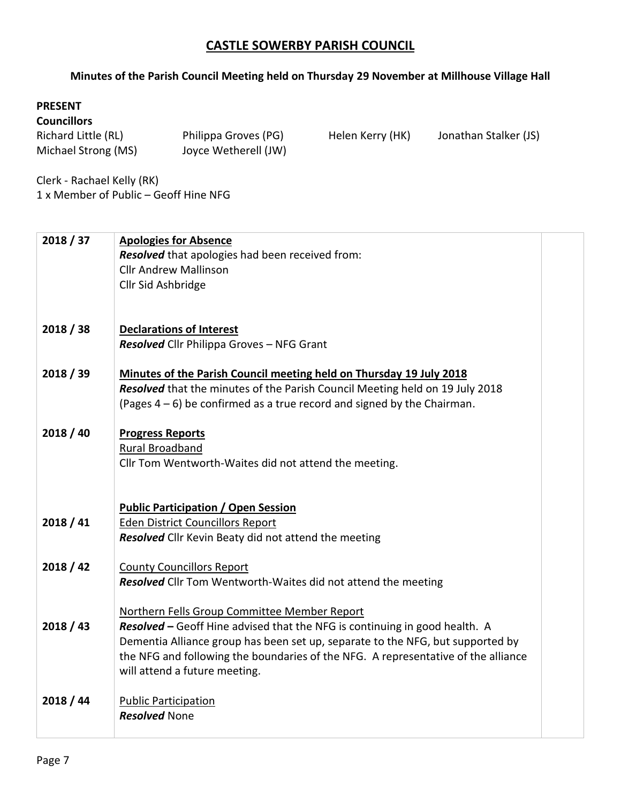## **CASTLE SOWERBY PARISH COUNCIL**

## **Minutes of the Parish Council Meeting held on Thursday 29 November at Millhouse Village Hall**

## **Councillors**

| Richard Little (RL) | Philippa Groves (PG) |
|---------------------|----------------------|
| Michael Strong (MS) | Joyce Wetherell (JW) |

Helen Kerry (HK) Jonathan Stalker (JS)

Clerk - Rachael Kelly (RK) 1 x Member of Public – Geoff Hine NFG

| 2018 / 37 | <b>Apologies for Absence</b><br>Resolved that apologies had been received from:<br><b>Cllr Andrew Mallinson</b>                                                                                                                                                                                                                    |  |
|-----------|------------------------------------------------------------------------------------------------------------------------------------------------------------------------------------------------------------------------------------------------------------------------------------------------------------------------------------|--|
|           | Cllr Sid Ashbridge                                                                                                                                                                                                                                                                                                                 |  |
| 2018 / 38 | <b>Declarations of Interest</b><br>Resolved Cllr Philippa Groves - NFG Grant                                                                                                                                                                                                                                                       |  |
| 2018 / 39 | Minutes of the Parish Council meeting held on Thursday 19 July 2018<br>Resolved that the minutes of the Parish Council Meeting held on 19 July 2018<br>(Pages $4-6$ ) be confirmed as a true record and signed by the Chairman.                                                                                                    |  |
| 2018 / 40 | <b>Progress Reports</b><br>Rural Broadband<br>Cllr Tom Wentworth-Waites did not attend the meeting.                                                                                                                                                                                                                                |  |
| 2018/41   | <b>Public Participation / Open Session</b><br><b>Eden District Councillors Report</b><br><b>Resolved</b> Cllr Kevin Beaty did not attend the meeting                                                                                                                                                                               |  |
| 2018 / 42 | <b>County Councillors Report</b><br><b>Resolved</b> Cllr Tom Wentworth-Waites did not attend the meeting                                                                                                                                                                                                                           |  |
| 2018 / 43 | Northern Fells Group Committee Member Report<br>Resolved - Geoff Hine advised that the NFG is continuing in good health. A<br>Dementia Alliance group has been set up, separate to the NFG, but supported by<br>the NFG and following the boundaries of the NFG. A representative of the alliance<br>will attend a future meeting. |  |
| 2018 / 44 | <b>Public Participation</b><br><b>Resolved None</b>                                                                                                                                                                                                                                                                                |  |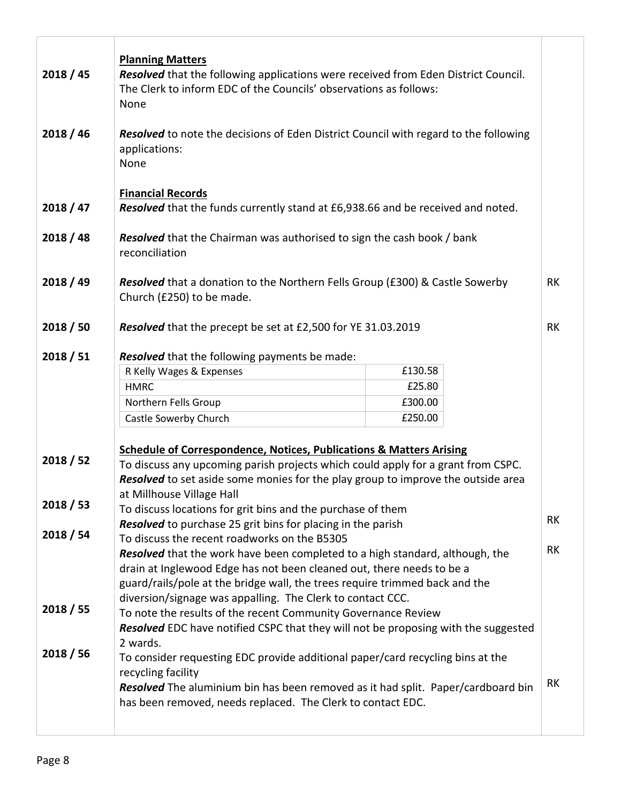| 2018 / 45              | <b>Planning Matters</b><br>Resolved that the following applications were received from Eden District Council.<br>The Clerk to inform EDC of the Councils' observations as follows:<br>None                                                                                                                                                                                                                                                                                                                                                                                             |                                         |           |
|------------------------|----------------------------------------------------------------------------------------------------------------------------------------------------------------------------------------------------------------------------------------------------------------------------------------------------------------------------------------------------------------------------------------------------------------------------------------------------------------------------------------------------------------------------------------------------------------------------------------|-----------------------------------------|-----------|
| 2018 / 46              | <b>Resolved</b> to note the decisions of Eden District Council with regard to the following<br>applications:<br>None                                                                                                                                                                                                                                                                                                                                                                                                                                                                   |                                         |           |
| 2018 / 47              | <b>Financial Records</b><br>Resolved that the funds currently stand at £6,938.66 and be received and noted.                                                                                                                                                                                                                                                                                                                                                                                                                                                                            |                                         |           |
| 2018 / 48              | <b>Resolved</b> that the Chairman was authorised to sign the cash book / bank<br>reconciliation                                                                                                                                                                                                                                                                                                                                                                                                                                                                                        |                                         |           |
| 2018 / 49              | <b>Resolved</b> that a donation to the Northern Fells Group (£300) & Castle Sowerby<br>Church (£250) to be made.                                                                                                                                                                                                                                                                                                                                                                                                                                                                       |                                         | RK        |
| 2018 / 50              | Resolved that the precept be set at £2,500 for YE 31.03.2019                                                                                                                                                                                                                                                                                                                                                                                                                                                                                                                           |                                         | <b>RK</b> |
| 2018 / 51<br>2018 / 52 | Resolved that the following payments be made:<br>R Kelly Wages & Expenses<br><b>HMRC</b><br>Northern Fells Group<br>Castle Sowerby Church<br><b>Schedule of Correspondence, Notices, Publications &amp; Matters Arising</b><br>To discuss any upcoming parish projects which could apply for a grant from CSPC.<br>Resolved to set aside some monies for the play group to improve the outside area                                                                                                                                                                                    | £130.58<br>£25.80<br>£300.00<br>£250.00 |           |
| 2018 / 53              | at Millhouse Village Hall<br>To discuss locations for grit bins and the purchase of them<br>RK                                                                                                                                                                                                                                                                                                                                                                                                                                                                                         |                                         |           |
| 2018 / 54<br>2018 / 55 | <b>Resolved</b> to purchase 25 grit bins for placing in the parish<br>To discuss the recent roadworks on the B5305<br><b>Resolved</b> that the work have been completed to a high standard, although, the<br>drain at Inglewood Edge has not been cleaned out, there needs to be a<br>guard/rails/pole at the bridge wall, the trees require trimmed back and the<br>diversion/signage was appalling. The Clerk to contact CCC.<br>To note the results of the recent Community Governance Review<br>Resolved EDC have notified CSPC that they will not be proposing with the suggested |                                         | RK        |
| 2018 / 56              | 2 wards.<br>To consider requesting EDC provide additional paper/card recycling bins at the<br>recycling facility<br>Resolved The aluminium bin has been removed as it had split. Paper/cardboard bin<br>has been removed, needs replaced. The Clerk to contact EDC.                                                                                                                                                                                                                                                                                                                    |                                         | RK        |